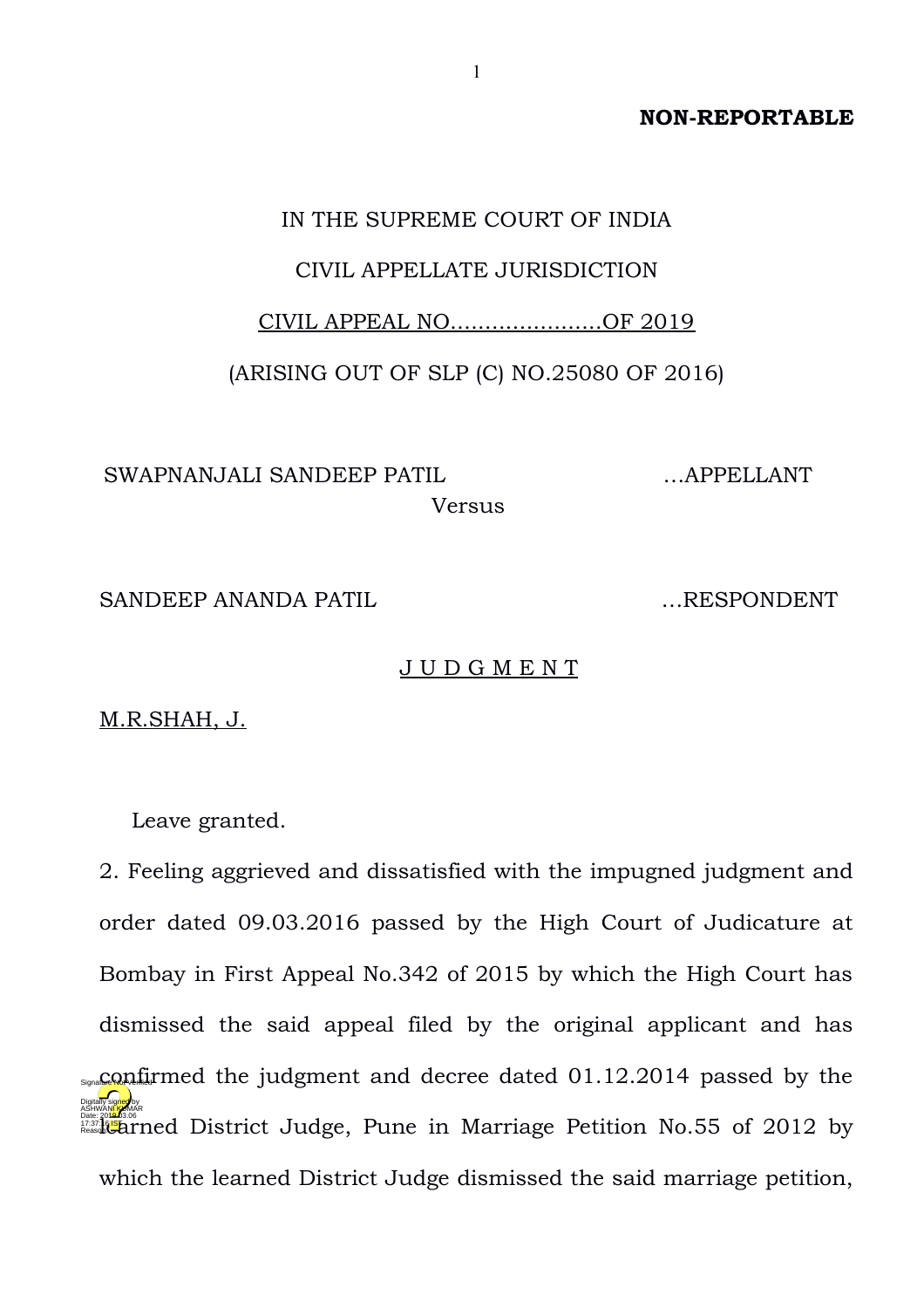**NON-REPORTABLE**

## IN THE SUPREME COURT OF INDIA CIVIL APPELLATE JURISDICTION

## CIVIL APPEAL NO......................OF 2019

(ARISING OUT OF SLP (C) NO.25080 OF 2016)

SWAPNANJALI SANDEEP PATIL Versus

SANDEEP ANANDA PATIL EXAMPLE EXAMPLE EXAMPLE EXAMPLE THE SPONDENT

J U D G M E N T

M.R.SHAH, J.

Leave granted.

2. Feeling aggrieved and dissatisfied with the impugned judgment and order dated 09.03.2016 passed by the High Court of Judicature at Bombay in First Appeal No.342 of 2015 by which the High Court has dismissed the said appeal filed by the original applicant and has  $\epsilon_{\text{Squ}}$ confirmed the judgment and decree dated 01.12.2014 passed by the Date: 2012 by The Listrict Judge, Pune in Marriage Petition No.55 of 2012 by which the learned District Judge dismissed the said marriage petition, Digitally signed by ASHWAN<mark>I KU</mark>MAR Reason:

…APPELLANT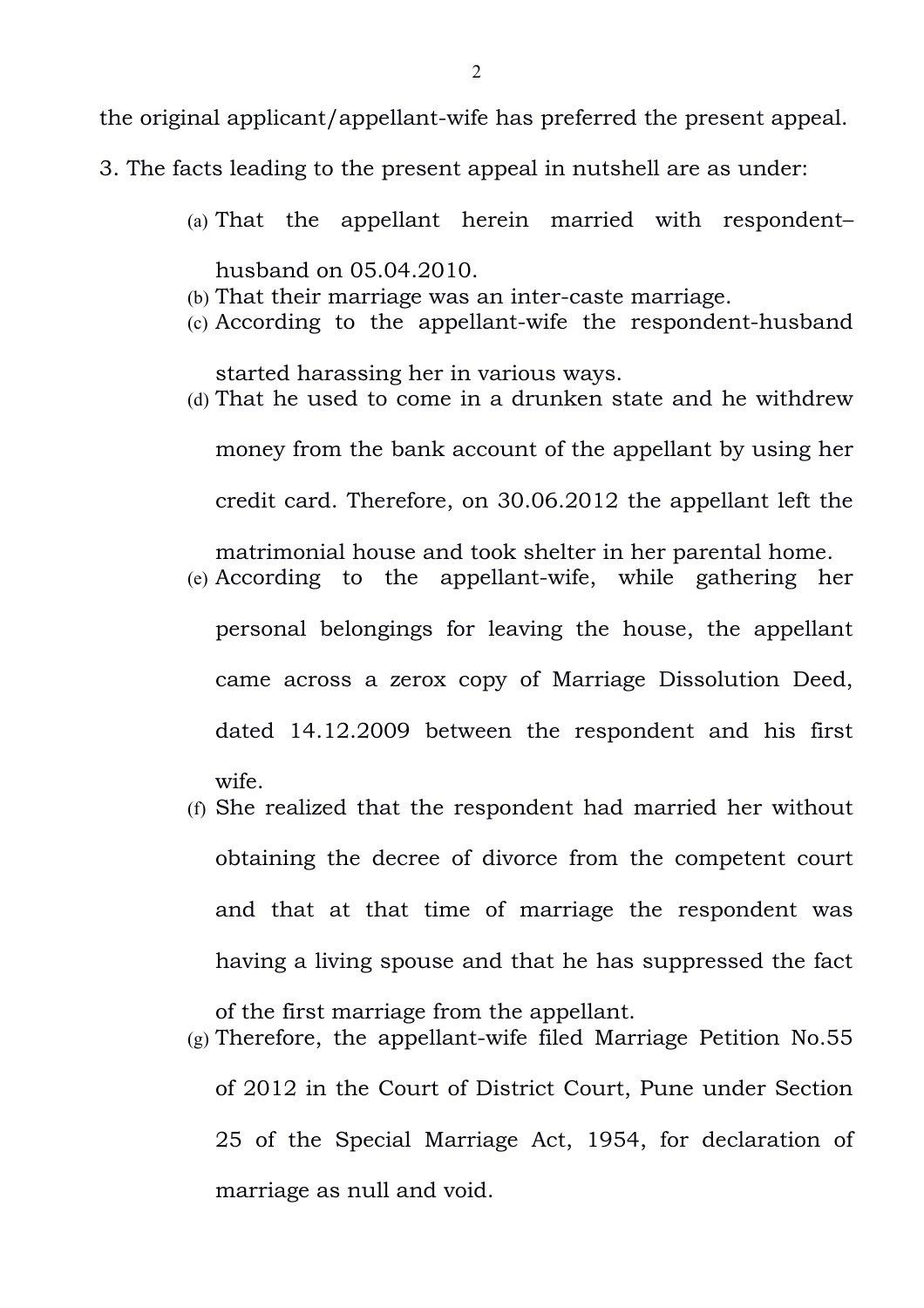of 2012 in the Court of District Court, Pune under Section 25 of the Special Marriage Act, 1954, for declaration of marriage as null and void.

(g) Therefore, the appellant-wife filed Marriage Petition No.55

(f) She realized that the respondent had married her without obtaining the decree of divorce from the competent court and that at that time of marriage the respondent was having a living spouse and that he has suppressed the fact

of the first marriage from the appellant.

- (e) According to the appellant-wife, while gathering her personal belongings for leaving the house, the appellant came across a zerox copy of Marriage Dissolution Deed, dated 14.12.2009 between the respondent and his first wife.
- (d) That he used to come in a drunken state and he withdrew money from the bank account of the appellant by using her credit card. Therefore, on 30.06.2012 the appellant left the matrimonial house and took shelter in her parental home.
- (b) That their marriage was an inter-caste marriage. (c) According to the appellant-wife the respondent-husband

(a) That the appellant herein married with respondent–

husband on 05.04.2010.

started harassing her in various ways.

- 
- 3. The facts leading to the present appeal in nutshell are as under:

the original applicant/appellant-wife has preferred the present appeal.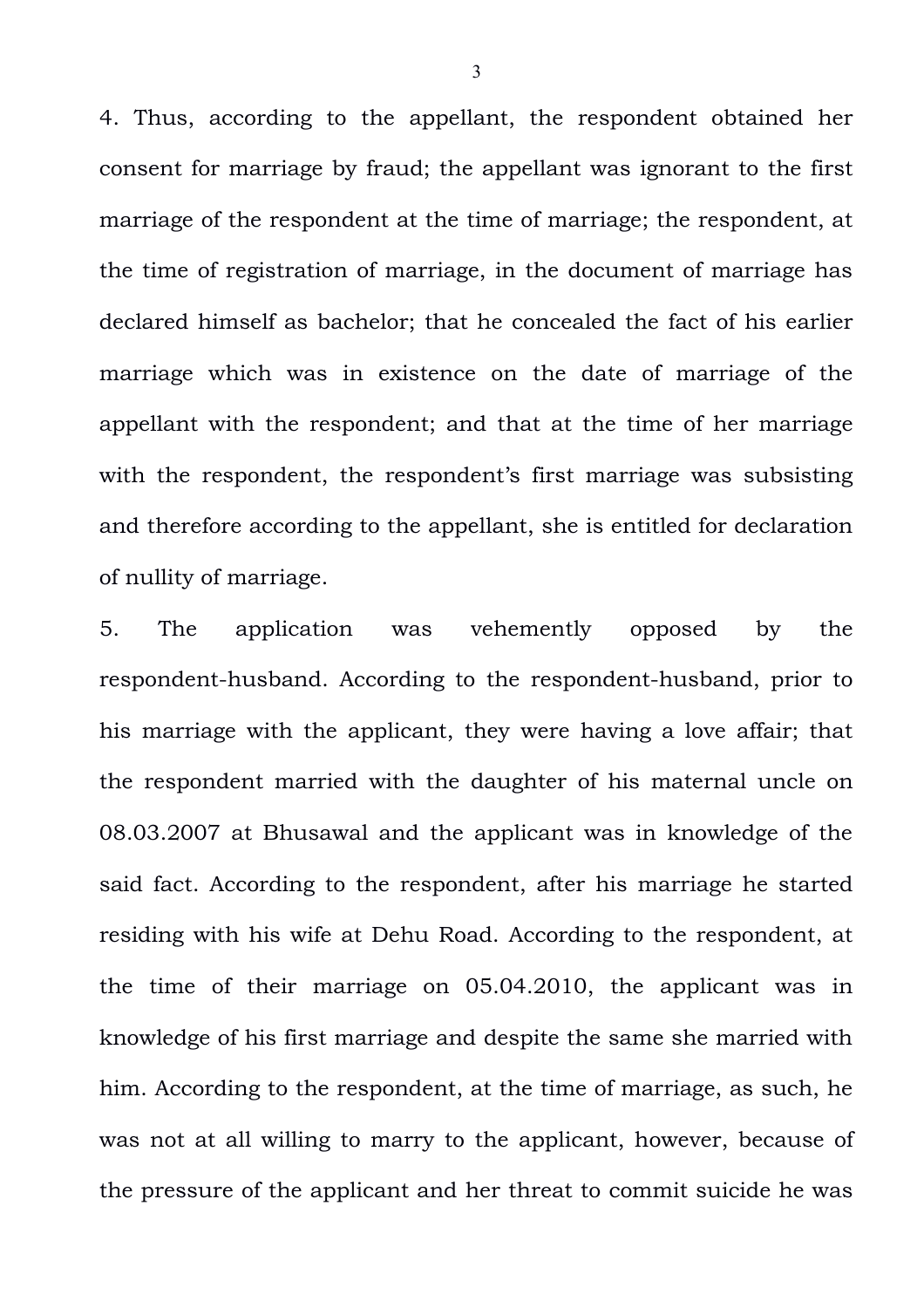4. Thus, according to the appellant, the respondent obtained her consent for marriage by fraud; the appellant was ignorant to the first marriage of the respondent at the time of marriage; the respondent, at the time of registration of marriage, in the document of marriage has declared himself as bachelor; that he concealed the fact of his earlier marriage which was in existence on the date of marriage of the appellant with the respondent; and that at the time of her marriage with the respondent, the respondent's first marriage was subsisting and therefore according to the appellant, she is entitled for declaration of nullity of marriage.

5. The application was vehemently opposed by the respondent-husband. According to the respondent-husband, prior to his marriage with the applicant, they were having a love affair; that the respondent married with the daughter of his maternal uncle on 08.03.2007 at Bhusawal and the applicant was in knowledge of the said fact. According to the respondent, after his marriage he started residing with his wife at Dehu Road. According to the respondent, at the time of their marriage on 05.04.2010, the applicant was in knowledge of his first marriage and despite the same she married with him. According to the respondent, at the time of marriage, as such, he was not at all willing to marry to the applicant, however, because of the pressure of the applicant and her threat to commit suicide he was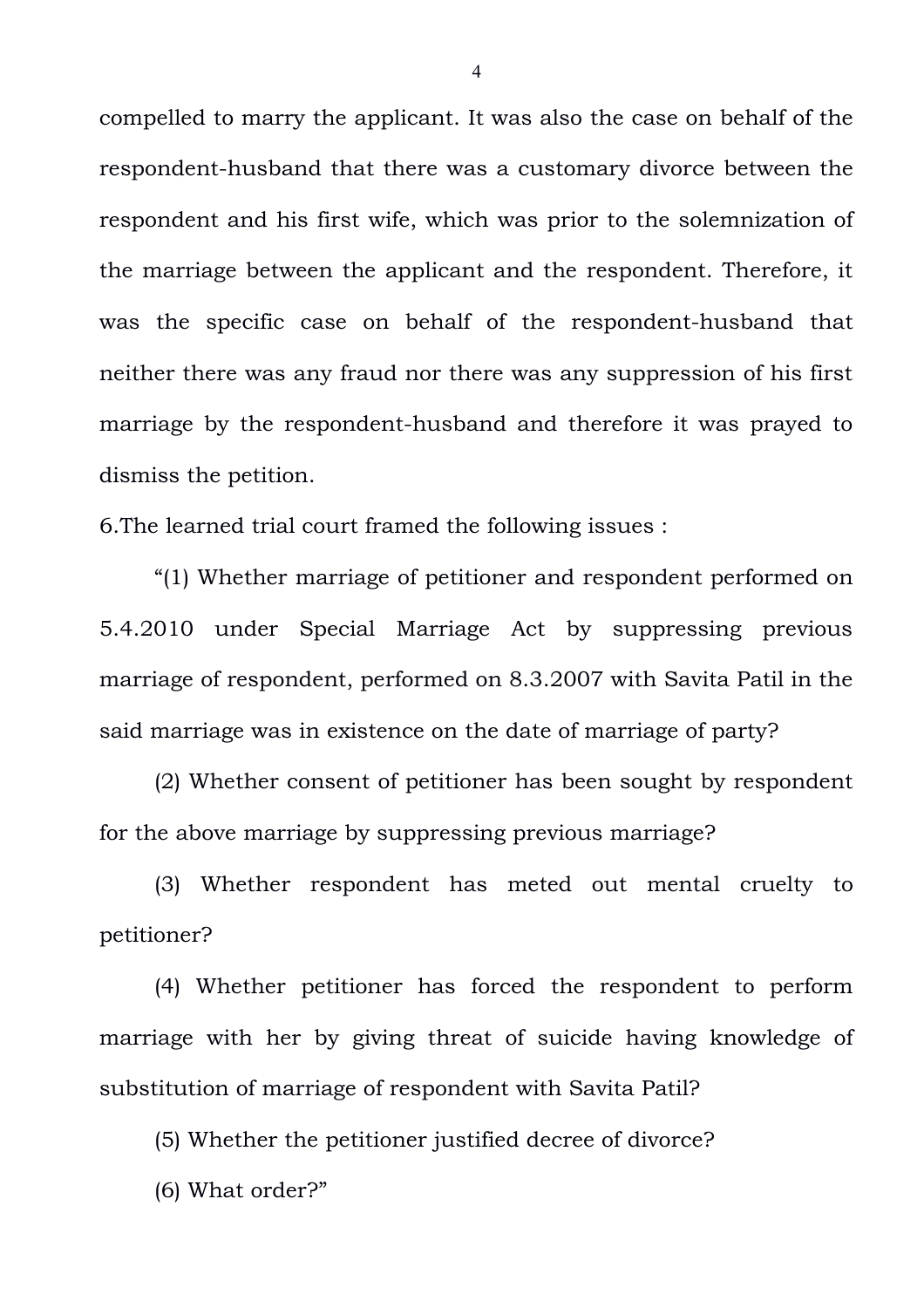compelled to marry the applicant. It was also the case on behalf of the respondent-husband that there was a customary divorce between the respondent and his first wife, which was prior to the solemnization of the marriage between the applicant and the respondent. Therefore, it was the specific case on behalf of the respondent-husband that neither there was any fraud nor there was any suppression of his first marriage by the respondent-husband and therefore it was prayed to dismiss the petition.

6.The learned trial court framed the following issues :

"(1) Whether marriage of petitioner and respondent performed on 5.4.2010 under Special Marriage Act by suppressing previous marriage of respondent, performed on 8.3.2007 with Savita Patil in the said marriage was in existence on the date of marriage of party?

(2) Whether consent of petitioner has been sought by respondent for the above marriage by suppressing previous marriage?

(3) Whether respondent has meted out mental cruelty to petitioner?

(4) Whether petitioner has forced the respondent to perform marriage with her by giving threat of suicide having knowledge of substitution of marriage of respondent with Savita Patil?

(5) Whether the petitioner justified decree of divorce?

(6) What order?"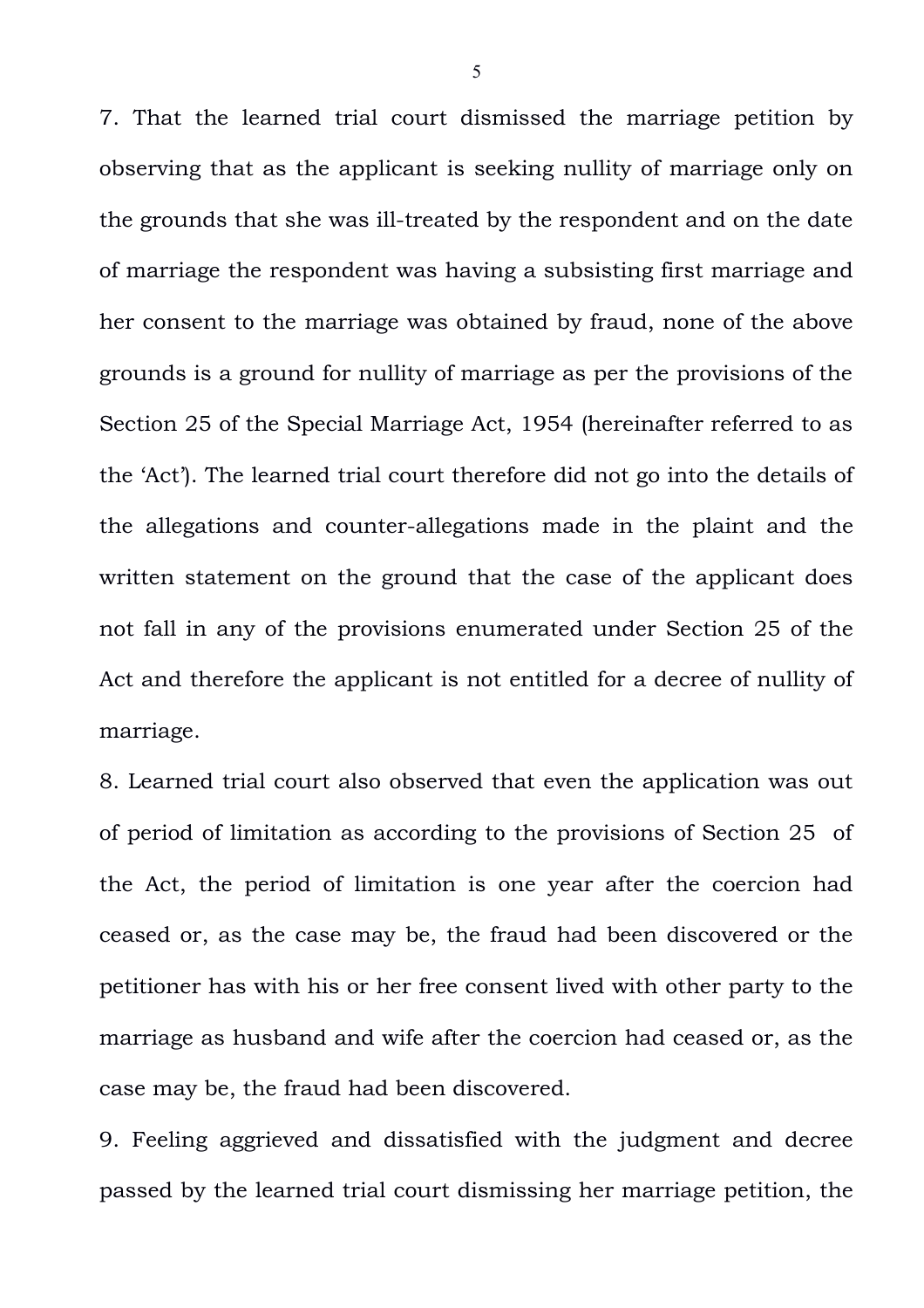7. That the learned trial court dismissed the marriage petition by observing that as the applicant is seeking nullity of marriage only on the grounds that she was ill-treated by the respondent and on the date of marriage the respondent was having a subsisting first marriage and her consent to the marriage was obtained by fraud, none of the above grounds is a ground for nullity of marriage as per the provisions of the Section 25 of the Special Marriage Act, 1954 (hereinafter referred to as the 'Act'). The learned trial court therefore did not go into the details of the allegations and counter-allegations made in the plaint and the written statement on the ground that the case of the applicant does not fall in any of the provisions enumerated under Section 25 of the Act and therefore the applicant is not entitled for a decree of nullity of marriage.

8. Learned trial court also observed that even the application was out of period of limitation as according to the provisions of Section 25 of the Act, the period of limitation is one year after the coercion had ceased or, as the case may be, the fraud had been discovered or the petitioner has with his or her free consent lived with other party to the marriage as husband and wife after the coercion had ceased or, as the case may be, the fraud had been discovered.

9. Feeling aggrieved and dissatisfied with the judgment and decree passed by the learned trial court dismissing her marriage petition, the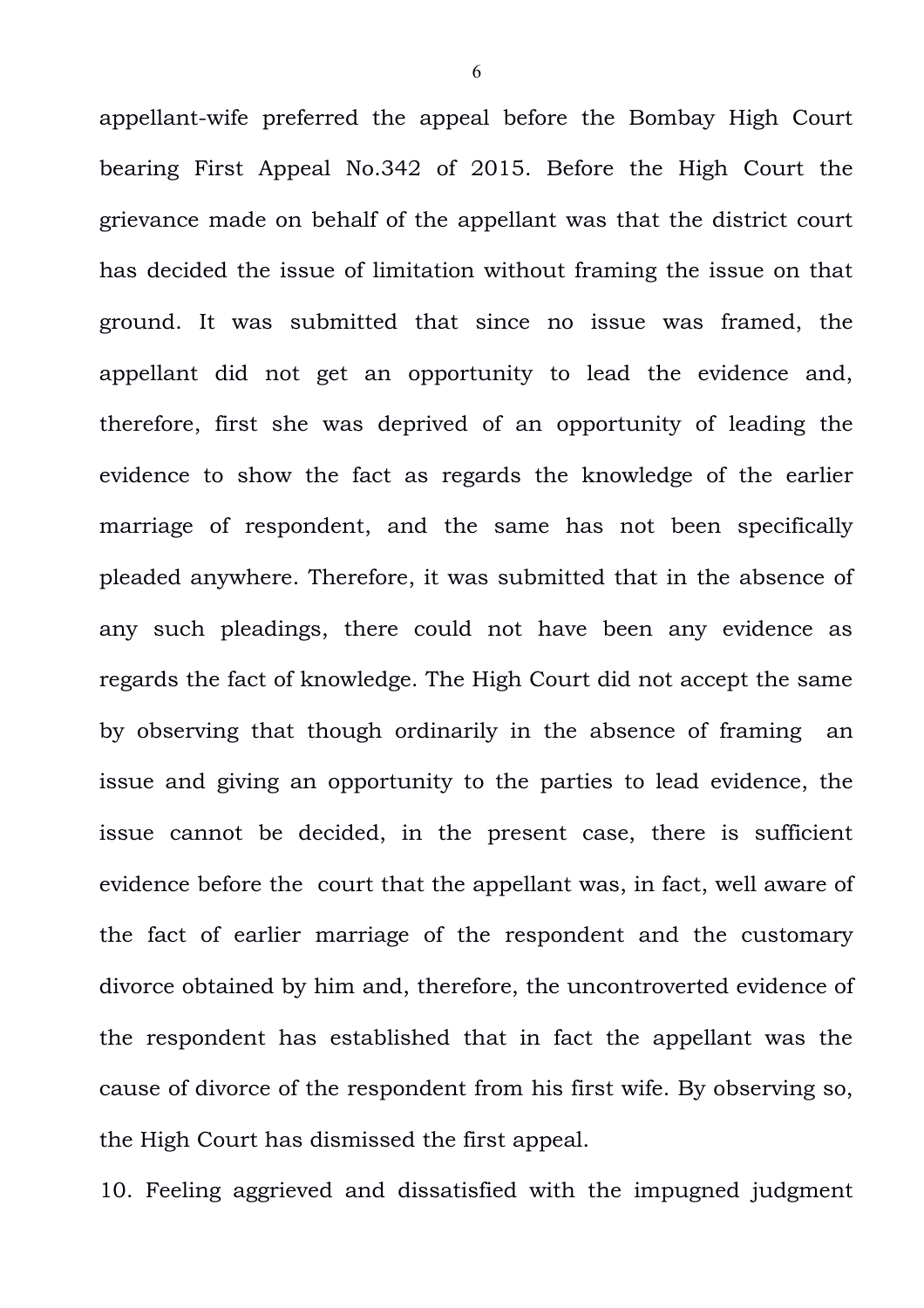appellant-wife preferred the appeal before the Bombay High Court bearing First Appeal No.342 of 2015. Before the High Court the grievance made on behalf of the appellant was that the district court has decided the issue of limitation without framing the issue on that ground. It was submitted that since no issue was framed, the appellant did not get an opportunity to lead the evidence and, therefore, first she was deprived of an opportunity of leading the evidence to show the fact as regards the knowledge of the earlier marriage of respondent, and the same has not been specifically pleaded anywhere. Therefore, it was submitted that in the absence of any such pleadings, there could not have been any evidence as regards the fact of knowledge. The High Court did not accept the same by observing that though ordinarily in the absence of framing an issue and giving an opportunity to the parties to lead evidence, the issue cannot be decided, in the present case, there is sufficient evidence before the court that the appellant was, in fact, well aware of the fact of earlier marriage of the respondent and the customary divorce obtained by him and, therefore, the uncontroverted evidence of the respondent has established that in fact the appellant was the cause of divorce of the respondent from his first wife. By observing so, the High Court has dismissed the first appeal.

10. Feeling aggrieved and dissatisfied with the impugned judgment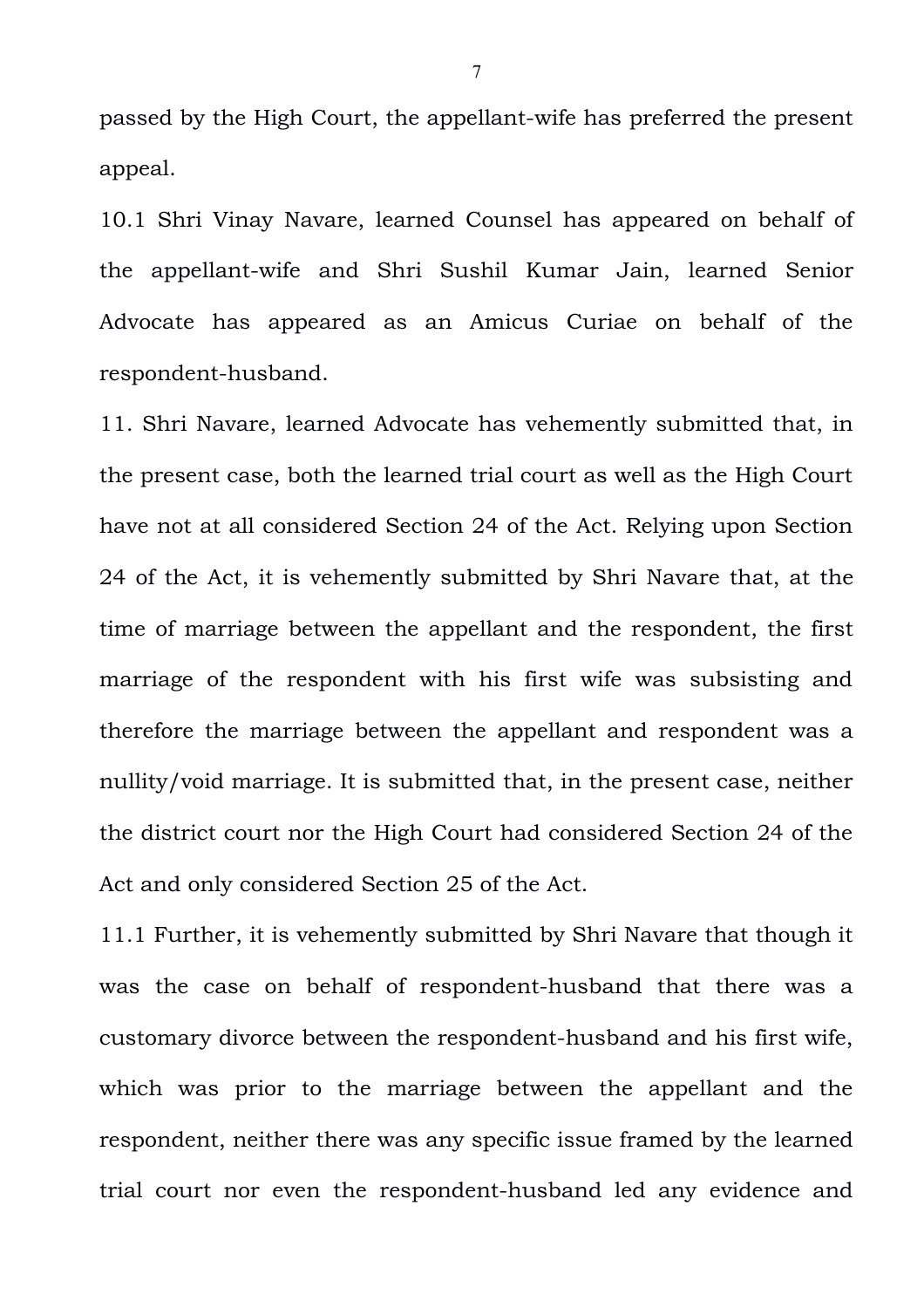passed by the High Court, the appellant-wife has preferred the present appeal.

10.1 Shri Vinay Navare, learned Counsel has appeared on behalf of the appellant-wife and Shri Sushil Kumar Jain, learned Senior Advocate has appeared as an Amicus Curiae on behalf of the respondent-husband.

11. Shri Navare, learned Advocate has vehemently submitted that, in the present case, both the learned trial court as well as the High Court have not at all considered Section 24 of the Act. Relying upon Section 24 of the Act, it is vehemently submitted by Shri Navare that, at the time of marriage between the appellant and the respondent, the first marriage of the respondent with his first wife was subsisting and therefore the marriage between the appellant and respondent was a nullity/void marriage. It is submitted that, in the present case, neither the district court nor the High Court had considered Section 24 of the Act and only considered Section 25 of the Act.

11.1 Further, it is vehemently submitted by Shri Navare that though it was the case on behalf of respondent-husband that there was a customary divorce between the respondent-husband and his first wife, which was prior to the marriage between the appellant and the respondent, neither there was any specific issue framed by the learned trial court nor even the respondent-husband led any evidence and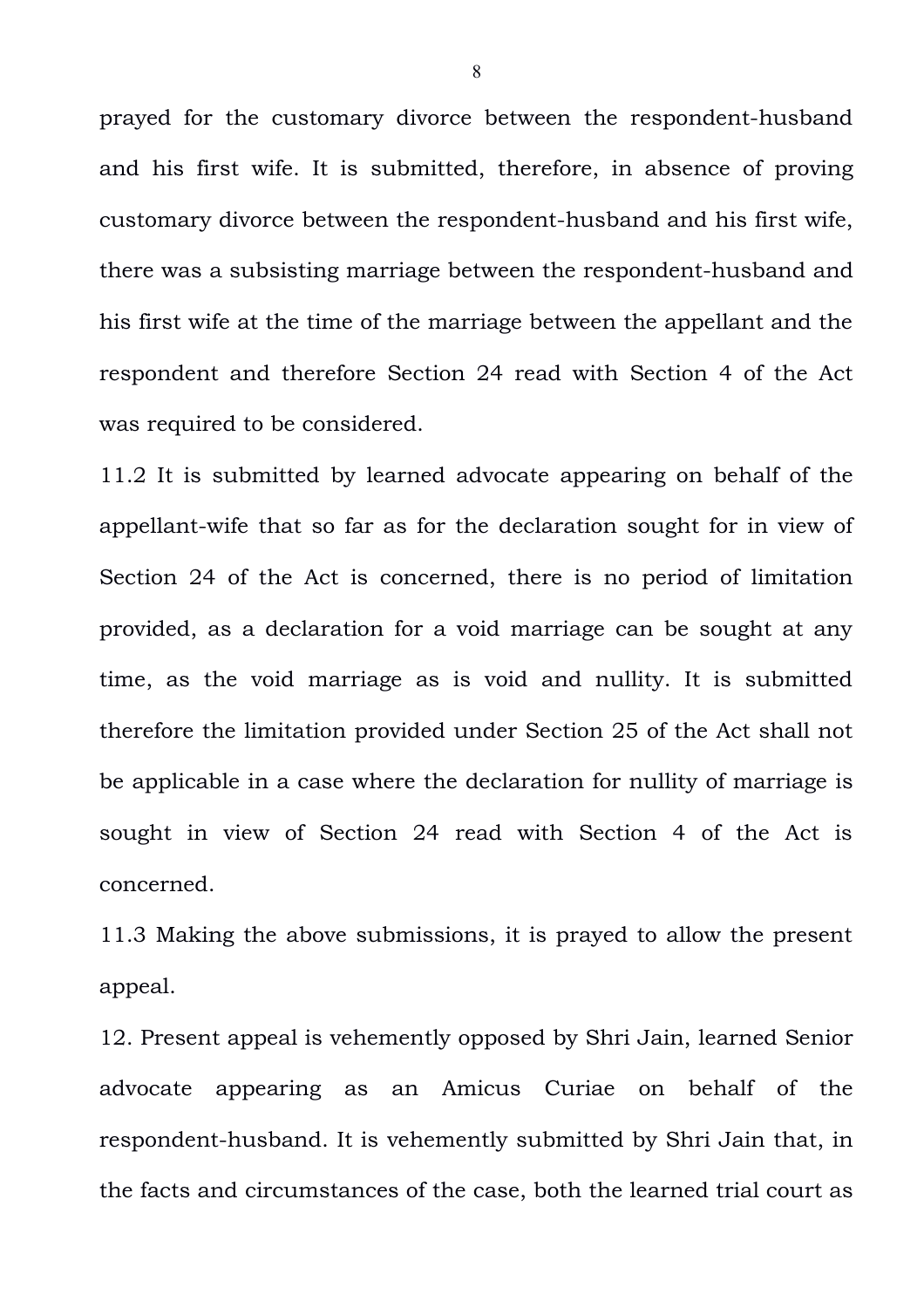prayed for the customary divorce between the respondent-husband and his first wife. It is submitted, therefore, in absence of proving customary divorce between the respondent-husband and his first wife, there was a subsisting marriage between the respondent-husband and his first wife at the time of the marriage between the appellant and the respondent and therefore Section 24 read with Section 4 of the Act was required to be considered.

11.2 It is submitted by learned advocate appearing on behalf of the appellant-wife that so far as for the declaration sought for in view of Section 24 of the Act is concerned, there is no period of limitation provided, as a declaration for a void marriage can be sought at any time, as the void marriage as is void and nullity. It is submitted therefore the limitation provided under Section 25 of the Act shall not be applicable in a case where the declaration for nullity of marriage is sought in view of Section 24 read with Section 4 of the Act is concerned.

11.3 Making the above submissions, it is prayed to allow the present appeal.

12. Present appeal is vehemently opposed by Shri Jain, learned Senior advocate appearing as an Amicus Curiae on behalf of the respondent-husband. It is vehemently submitted by Shri Jain that, in the facts and circumstances of the case, both the learned trial court as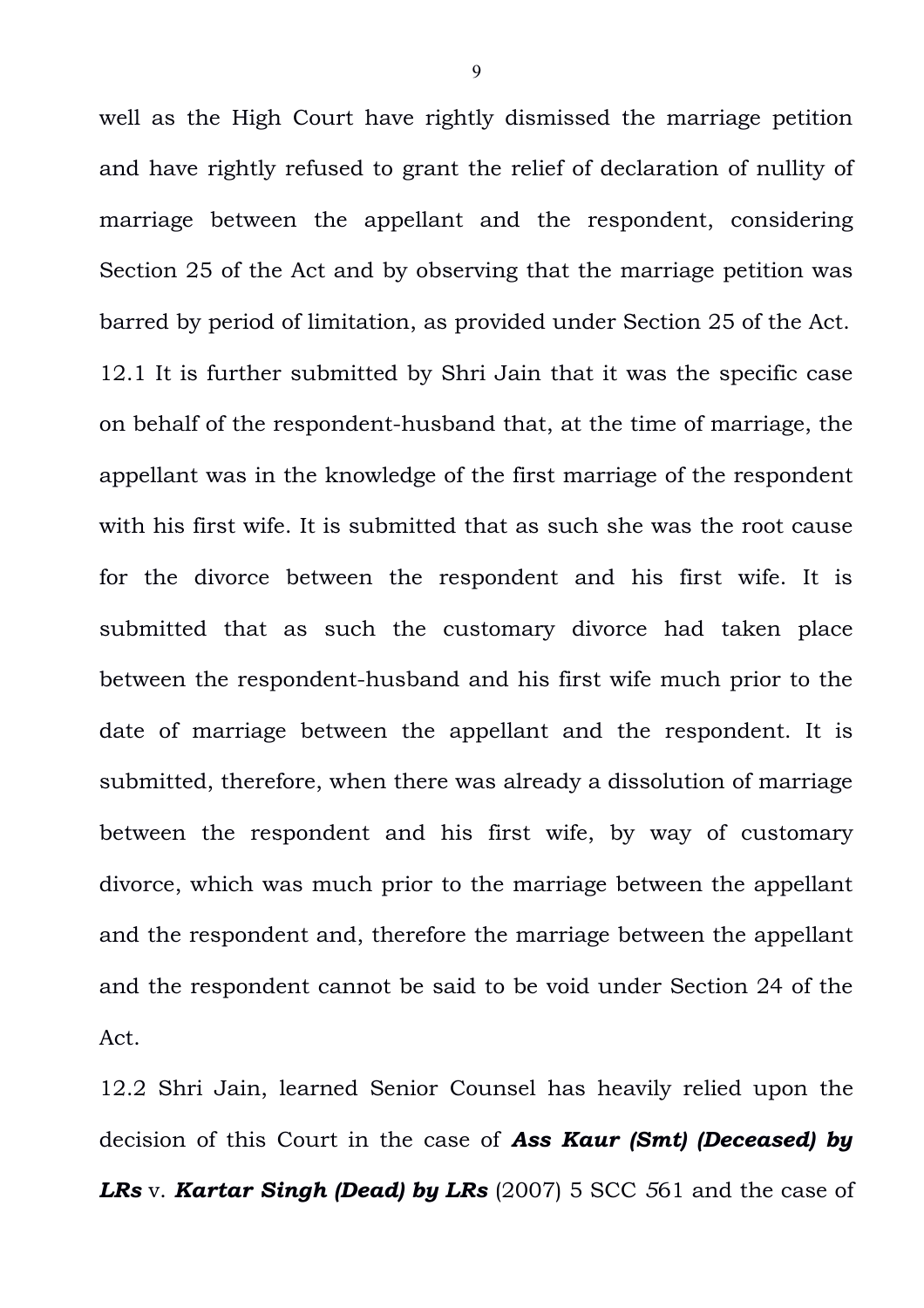well as the High Court have rightly dismissed the marriage petition and have rightly refused to grant the relief of declaration of nullity of marriage between the appellant and the respondent, considering Section 25 of the Act and by observing that the marriage petition was barred by period of limitation, as provided under Section 25 of the Act. 12.1 It is further submitted by Shri Jain that it was the specific case on behalf of the respondent-husband that, at the time of marriage, the appellant was in the knowledge of the first marriage of the respondent with his first wife. It is submitted that as such she was the root cause for the divorce between the respondent and his first wife. It is submitted that as such the customary divorce had taken place between the respondent-husband and his first wife much prior to the date of marriage between the appellant and the respondent. It is submitted, therefore, when there was already a dissolution of marriage between the respondent and his first wife, by way of customary divorce, which was much prior to the marriage between the appellant and the respondent and, therefore the marriage between the appellant and the respondent cannot be said to be void under Section 24 of the Act.

12.2 Shri Jain, learned Senior Counsel has heavily relied upon the decision of this Court in the case of *Ass Kaur (Smt) (Deceased) by LRs* v. *Kartar Singh (Dead) by LRs* (2007) 5 SCC *5*61 and the case of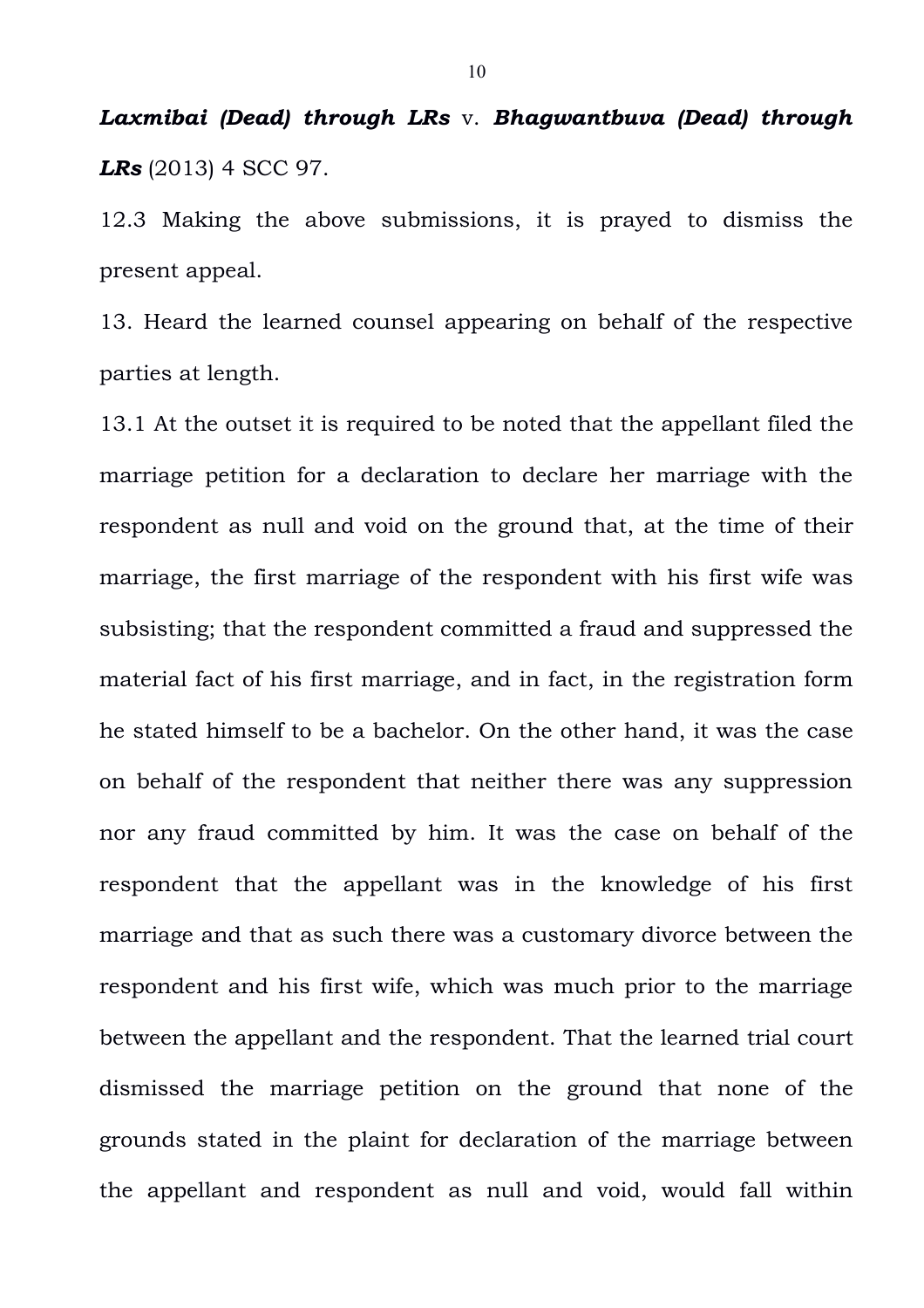## *Laxmibai (Dead) through LRs* v. *Bhagwantbuva (Dead) through LRs* (2013) 4 SCC 97.

12.3 Making the above submissions, it is prayed to dismiss the present appeal.

13. Heard the learned counsel appearing on behalf of the respective parties at length.

13.1 At the outset it is required to be noted that the appellant filed the marriage petition for a declaration to declare her marriage with the respondent as null and void on the ground that, at the time of their marriage, the first marriage of the respondent with his first wife was subsisting; that the respondent committed a fraud and suppressed the material fact of his first marriage, and in fact, in the registration form he stated himself to be a bachelor. On the other hand, it was the case on behalf of the respondent that neither there was any suppression nor any fraud committed by him. It was the case on behalf of the respondent that the appellant was in the knowledge of his first marriage and that as such there was a customary divorce between the respondent and his first wife, which was much prior to the marriage between the appellant and the respondent. That the learned trial court dismissed the marriage petition on the ground that none of the grounds stated in the plaint for declaration of the marriage between the appellant and respondent as null and void, would fall within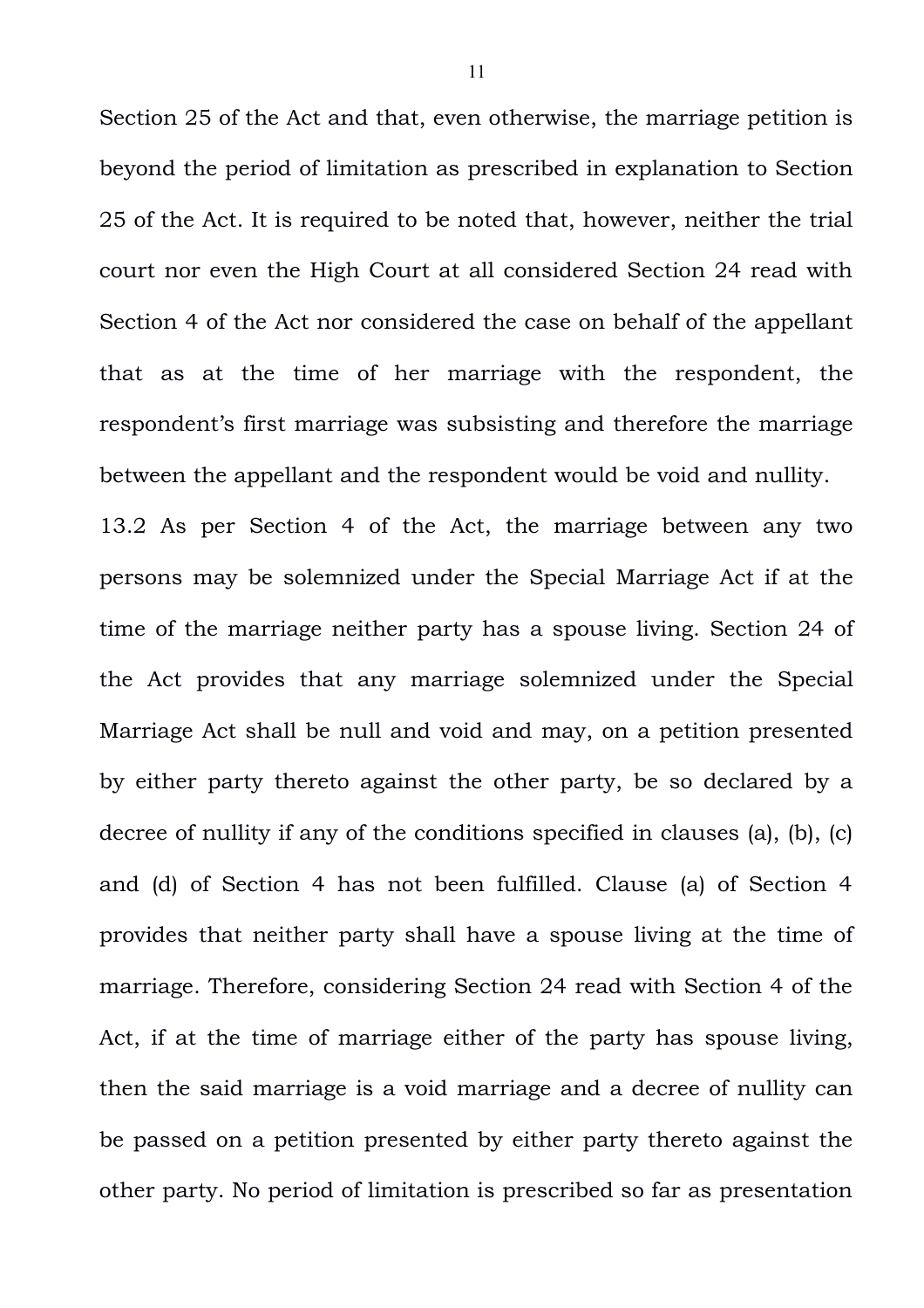Section 25 of the Act and that, even otherwise, the marriage petition is beyond the period of limitation as prescribed in explanation to Section 25 of the Act. It is required to be noted that, however, neither the trial court nor even the High Court at all considered Section 24 read with Section 4 of the Act nor considered the case on behalf of the appellant that as at the time of her marriage with the respondent, the respondent's first marriage was subsisting and therefore the marriage between the appellant and the respondent would be void and nullity.

13.2 As per Section 4 of the Act, the marriage between any two persons may be solemnized under the Special Marriage Act if at the time of the marriage neither party has a spouse living. Section 24 of the Act provides that any marriage solemnized under the Special Marriage Act shall be null and void and may, on a petition presented by either party thereto against the other party, be so declared by a decree of nullity if any of the conditions specified in clauses (a), (b), (c) and (d) of Section 4 has not been fulfilled. Clause (a) of Section 4 provides that neither party shall have a spouse living at the time of marriage. Therefore, considering Section 24 read with Section 4 of the Act, if at the time of marriage either of the party has spouse living, then the said marriage is a void marriage and a decree of nullity can be passed on a petition presented by either party thereto against the other party. No period of limitation is prescribed so far as presentation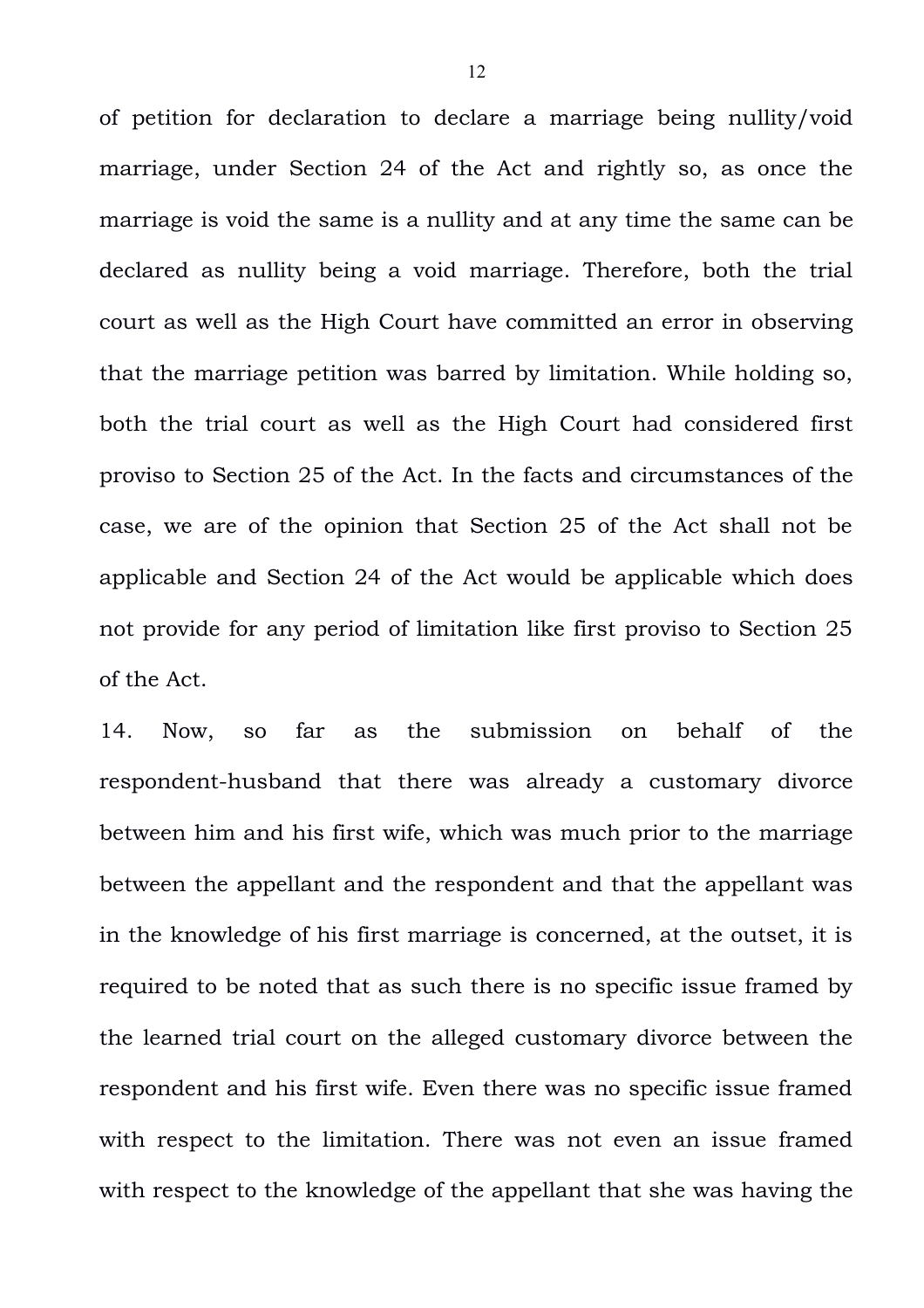of petition for declaration to declare a marriage being nullity/void marriage, under Section 24 of the Act and rightly so, as once the marriage is void the same is a nullity and at any time the same can be declared as nullity being a void marriage. Therefore, both the trial court as well as the High Court have committed an error in observing that the marriage petition was barred by limitation. While holding so, both the trial court as well as the High Court had considered first proviso to Section 25 of the Act. In the facts and circumstances of the case, we are of the opinion that Section 25 of the Act shall not be applicable and Section 24 of the Act would be applicable which does not provide for any period of limitation like first proviso to Section 25 of the Act.

14. Now, so far as the submission on behalf of the respondent-husband that there was already a customary divorce between him and his first wife, which was much prior to the marriage between the appellant and the respondent and that the appellant was in the knowledge of his first marriage is concerned, at the outset, it is required to be noted that as such there is no specific issue framed by the learned trial court on the alleged customary divorce between the respondent and his first wife. Even there was no specific issue framed with respect to the limitation. There was not even an issue framed with respect to the knowledge of the appellant that she was having the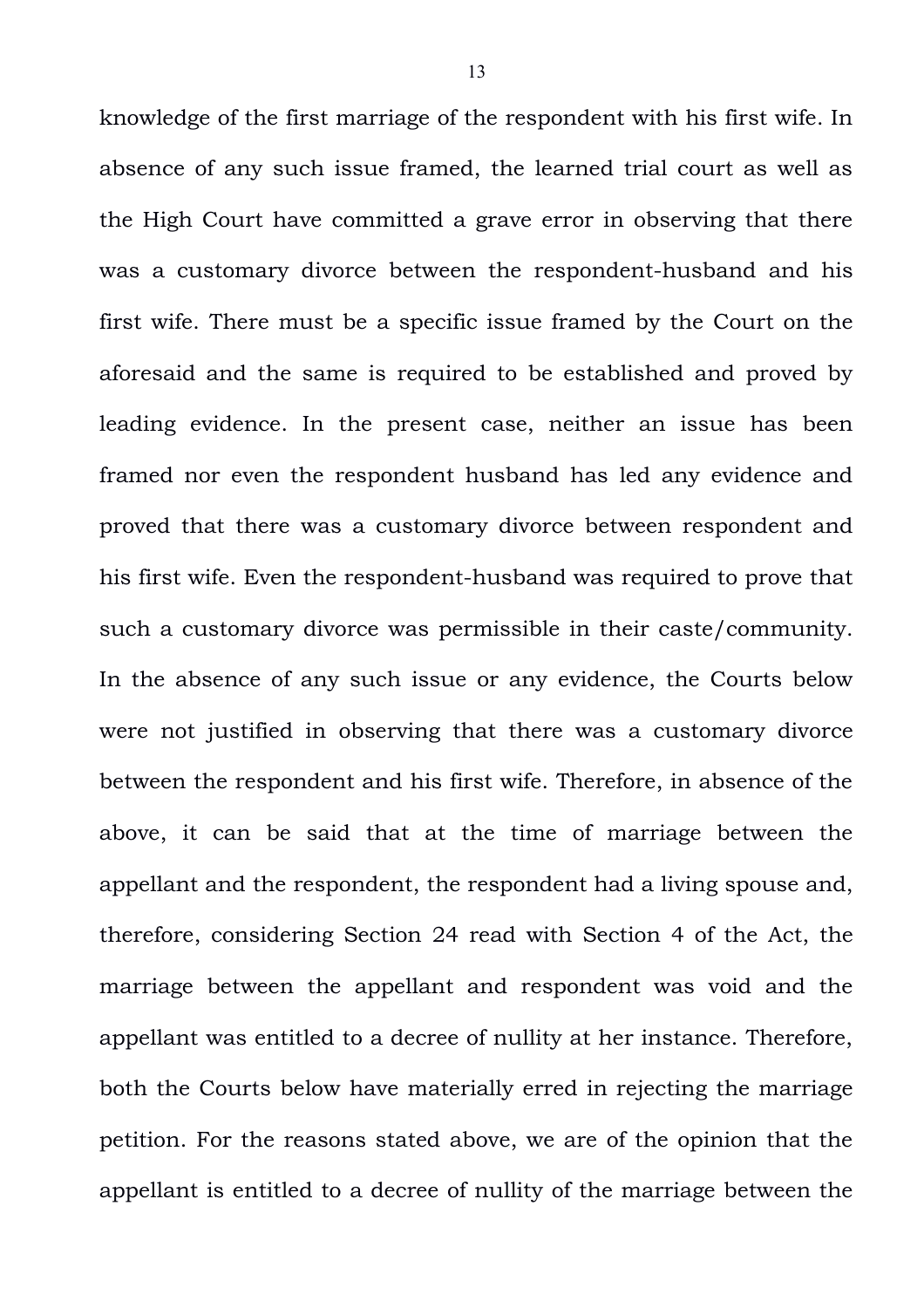knowledge of the first marriage of the respondent with his first wife. In absence of any such issue framed, the learned trial court as well as the High Court have committed a grave error in observing that there was a customary divorce between the respondent-husband and his first wife. There must be a specific issue framed by the Court on the aforesaid and the same is required to be established and proved by leading evidence. In the present case, neither an issue has been framed nor even the respondent husband has led any evidence and proved that there was a customary divorce between respondent and his first wife. Even the respondent-husband was required to prove that such a customary divorce was permissible in their caste/community. In the absence of any such issue or any evidence, the Courts below were not justified in observing that there was a customary divorce between the respondent and his first wife. Therefore, in absence of the above, it can be said that at the time of marriage between the appellant and the respondent, the respondent had a living spouse and, therefore, considering Section 24 read with Section 4 of the Act, the marriage between the appellant and respondent was void and the appellant was entitled to a decree of nullity at her instance. Therefore, both the Courts below have materially erred in rejecting the marriage petition. For the reasons stated above, we are of the opinion that the appellant is entitled to a decree of nullity of the marriage between the